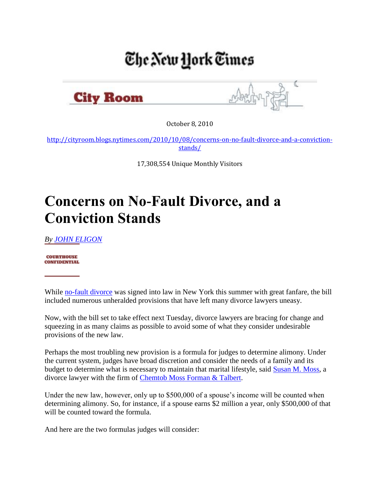## The New York Times

**City Room** 

October 8, 2010

[http://cityroom.blogs.nytimes.com/2010/10/08/concerns-on-no-fault-divorce-and-a-conviction](http://cityroom.blogs.nytimes.com/2010/10/08/concerns-on-no-fault-divorce-and-a-conviction-stands/)[stands/](http://cityroom.blogs.nytimes.com/2010/10/08/concerns-on-no-fault-divorce-and-a-conviction-stands/)

17,308,554 Unique Monthly Visitors

## **Concerns on No-Fault Divorce, and a Conviction Stands**

*By [JOHN ELIGON](http://cityroom.blogs.nytimes.com/author/john-eligon/)*

**COURTHOUSE CONFIDENTIAL** 

While [no-fault divorce](http://www.nytimes.com/2010/07/02/nyregion/02albany.html) was signed into law in New York this summer with great fanfare, the bill included numerous unheralded provisions that have left many divorce lawyers uneasy.

Now, with the bill set to take effect next Tuesday, divorce lawyers are bracing for change and squeezing in as many claims as possible to avoid some of what they consider undesirable provisions of the new law.

Perhaps the most troubling new provision is a formula for judges to determine alimony. Under the current system, judges have broad discretion and consider the needs of a family and its budget to determine what is necessary to maintain that marital lifestyle, said [Susan M. Moss,](http://www.cmftlaw.com/chemtobmossforml.html) a divorce lawyer with the firm of [Chemtob Moss Forman & Talbert.](http://www.cmftlaw.com/)

Under the new law, however, only up to \$500,000 of a spouse's income will be counted when determining alimony. So, for instance, if a spouse earns \$2 million a year, only \$500,000 of that will be counted toward the formula.

And here are the two formulas judges will consider: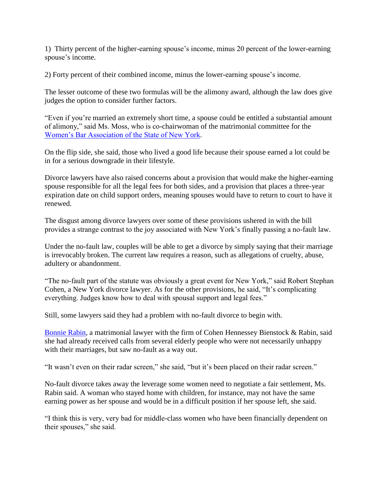1) Thirty percent of the higher-earning spouse"s income, minus 20 percent of the lower-earning spouse's income.

2) Forty percent of their combined income, minus the lower-earning spouse"s income.

The lesser outcome of these two formulas will be the alimony award, although the law does give judges the option to consider further factors.

"Even if you"re married an extremely short time, a spouse could be entitled a substantial amount of alimony," said Ms. Moss, who is co-chairwoman of the matrimonial committee for the [Women"s Bar Association of the State of New York.](http://www.wbasny.bluestep.net/)

On the flip side, she said, those who lived a good life because their spouse earned a lot could be in for a serious downgrade in their lifestyle.

Divorce lawyers have also raised concerns about a provision that would make the higher-earning spouse responsible for all the legal fees for both sides, and a provision that places a three-year expiration date on child support orders, meaning spouses would have to return to court to have it renewed.

The disgust among divorce lawyers over some of these provisions ushered in with the bill provides a strange contrast to the joy associated with New York"s finally passing a no-fault law.

Under the no-fault law, couples will be able to get a divorce by simply saying that their marriage is irrevocably broken. The current law requires a reason, such as allegations of cruelty, abuse, adultery or abandonment.

"The no-fault part of the statute was obviously a great event for New York," said Robert Stephan Cohen, a New York divorce lawyer. As for the other provisions, he said, "It"s complicating everything. Judges know how to deal with spousal support and legal fees."

Still, some lawyers said they had a problem with no-fault divorce to begin with.

[Bonnie Rabin,](http://www.chbrlaw.com/br.html) a matrimonial lawyer with the firm of Cohen Hennessey Bienstock & Rabin, said she had already received calls from several elderly people who were not necessarily unhappy with their marriages, but saw no-fault as a way out.

"It wasn"t even on their radar screen," she said, "but it"s been placed on their radar screen."

No-fault divorce takes away the leverage some women need to negotiate a fair settlement, Ms. Rabin said. A woman who stayed home with children, for instance, may not have the same earning power as her spouse and would be in a difficult position if her spouse left, she said.

"I think this is very, very bad for middle-class women who have been financially dependent on their spouses," she said.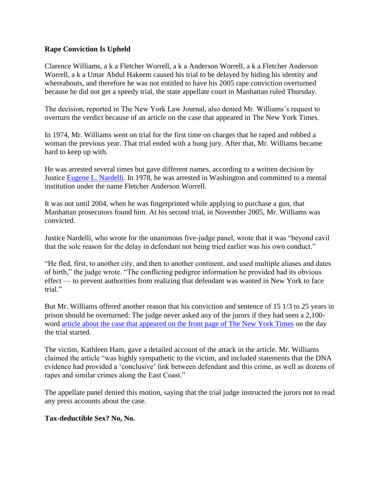## **Rape Conviction Is Upheld**

Clarence Williams, a k a Fletcher Worrell, a k a Anderson Worrell, a k a Fletcher Anderson Worrell, a k a Umar Abdul Hakeem caused his trial to be delayed by hiding his identity and whereabouts, and therefore he was not entitled to have his 2005 rape conviction overturned because he did not get a speedy trial, the state appellate court in Manhattan ruled Thursday.

The decision, reported in The New York Law Journal, also denied Mr. Williams"s request to overturn the verdict because of an article on the case that appeared in The New York Times.

In 1974, Mr. Williams went on trial for the first time on charges that he raped and robbed a woman the previous year. That trial ended with a hung jury. After that, Mr. Williams became hard to keep up with.

He was arrested several times but gave different names, according to a written decision by Justice [Eugene L. Nardelli.](http://www.courts.state.ny.us/courts/ad1/justicesofthecourt/justices_nardelli.shtml) In 1978, he was arrested in Washington and committed to a mental institution under the name Fletcher Anderson Worrell.

It was not until 2004, when he was fingerprinted while applying to purchase a gun, that Manhattan prosecutors found him. At his second trial, in November 2005, Mr. Williams was convicted.

Justice Nardelli, who wrote for the unanimous five-judge panel, wrote that it was "beyond cavil that the sole reason for the delay in defendant not being tried earlier was his own conduct."

"He fled, first, to another city, and then to another continent, and used multiple aliases and dates of birth," the judge wrote. "The conflicting pedigree information he provided had its obvious effect — to prevent authorities from realizing that defendant was wanted in New York to face trial."

But Mr. Williams offered another reason that his conviction and sentence of 15 1/3 to 25 years in prison should be overturned: The judge never asked any of the jurors if they had seen a 2,100 word [article about the case that appeared on the front page of The New York Times](http://query.nytimes.com/gst/fullpage.html?res=9801EFD7163EF930A35752C1A9639C8B63&&scp=11&sq=julia%20preston%20clarence%20williams&st=cse) on the day the trial started.

The victim, Kathleen Ham, gave a detailed account of the attack in the article. Mr. Williams claimed the article "was highly sympathetic to the victim, and included statements that the DNA evidence had provided a "conclusive" link between defendant and this crime, as well as dozens of rapes and similar crimes along the East Coast."

The appellate panel denied this motion, saying that the trial judge instructed the jurors not to read any press accounts about the case.

## **Tax-deductible Sex? No, No.**